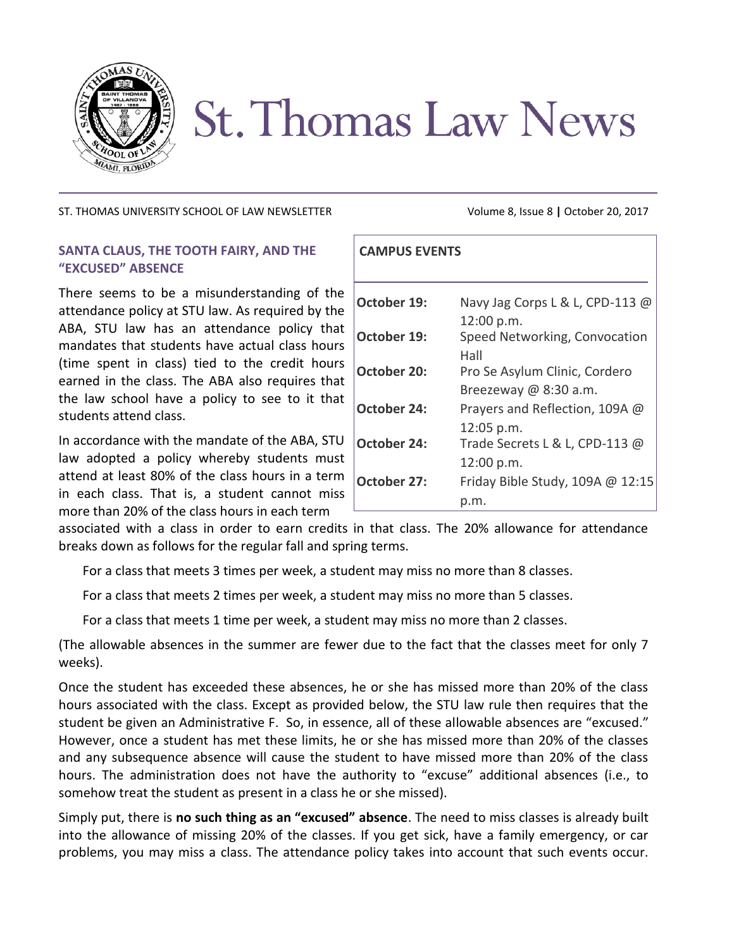

# **St. Thomas Law News**

## ST. THOMAS UNIVERSITY SCHOOL OF LAW NEWSLETTER Volume 8, Issue 8 **|** October 20, 2017

# **SANTA CLAUS, THE TOOTH FAIRY, AND THE "EXCUSED" ABSENCE**

There seems to be a misunderstanding of the attendance policy at STU law. As required by the ABA, STU law has an attendance policy that mandates that students have actual class hours (time spent in class) tied to the credit hours earned in the class. The ABA also requires that the law school have a policy to see to it that students attend class.

In accordance with the mandate of the ABA, STU law adopted a policy whereby students must attend at least 80% of the class hours in a term in each class. That is, a student cannot miss more than 20% of the class hours in each term

| <b>CAMPUS EVENTS</b> |                                    |
|----------------------|------------------------------------|
| October 19:          | Navy Jag Corps L & L, CPD-113 @    |
|                      | 12:00 p.m.                         |
| October 19:          | Speed Networking, Convocation      |
|                      | Hall                               |
| <b>October 20:</b>   | Pro Se Asylum Clinic, Cordero      |
|                      | Breezeway $@8:30a.m.$              |
| October 24:          | Prayers and Reflection, 109A @     |
|                      | $12:05$ p.m.                       |
| <b>October 24:</b>   | Trade Secrets L & L, CPD-113 @     |
|                      | 12:00 p.m.                         |
| October 27:          | Friday Bible Study, 109A $@$ 12:15 |
|                      |                                    |

associated with a class in order to earn credits in that class. The 20% allowance for attendance breaks down as follows for the regular fall and spring terms.

For a class that meets 3 times per week, a student may miss no more than 8 classes.

For a class that meets 2 times per week, a student may miss no more than 5 classes.

For a class that meets 1 time per week, a student may miss no more than 2 classes.

(The allowable absences in the summer are fewer due to the fact that the classes meet for only 7 weeks).

Once the student has exceeded these absences, he or she has missed more than 20% of the class hours associated with the class. Except as provided below, the STU law rule then requires that the student be given an Administrative F. So, in essence, all of these allowable absences are "excused." However, once a student has met these limits, he or she has missed more than 20% of the classes and any subsequence absence will cause the student to have missed more than 20% of the class hours. The administration does not have the authority to "excuse" additional absences (i.e., to somehow treat the student as present in a class he or she missed).

Simply put, there is **no such thing as an "excused" absence**. The need to miss classes is already built into the allowance of missing 20% of the classes. If you get sick, have a family emergency, or car problems, you may miss a class. The attendance policy takes into account that such events occur.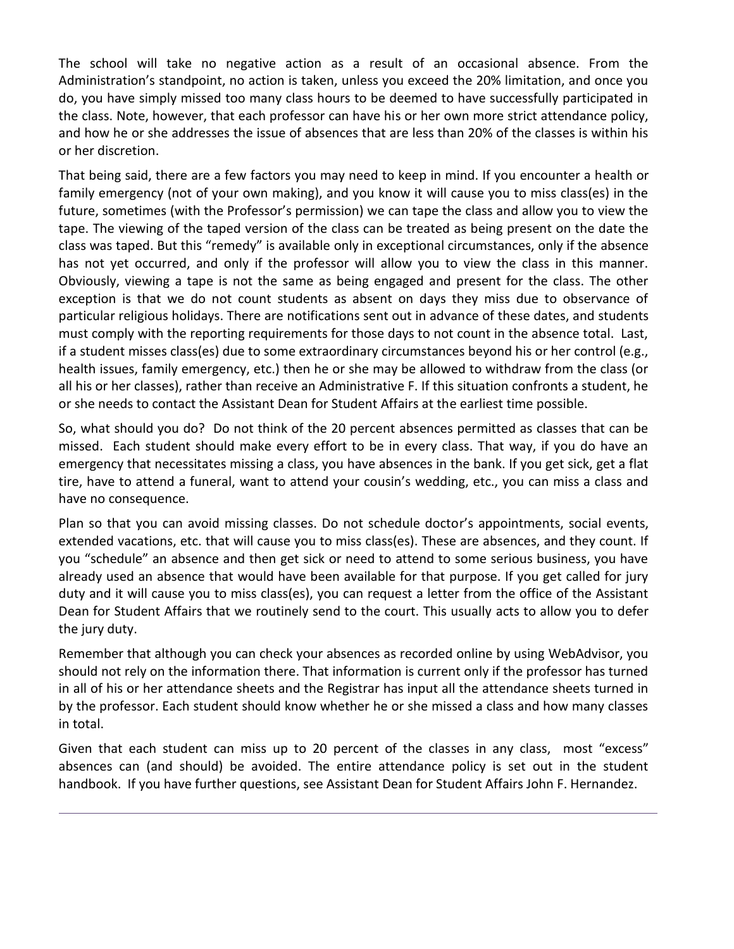The school will take no negative action as a result of an occasional absence. From the Administration's standpoint, no action is taken, unless you exceed the 20% limitation, and once you do, you have simply missed too many class hours to be deemed to have successfully participated in the class. Note, however, that each professor can have his or her own more strict attendance policy, and how he or she addresses the issue of absences that are less than 20% of the classes is within his or her discretion.

That being said, there are a few factors you may need to keep in mind. If you encounter a health or family emergency (not of your own making), and you know it will cause you to miss class(es) in the future, sometimes (with the Professor's permission) we can tape the class and allow you to view the tape. The viewing of the taped version of the class can be treated as being present on the date the class was taped. But this "remedy" is available only in exceptional circumstances, only if the absence has not yet occurred, and only if the professor will allow you to view the class in this manner. Obviously, viewing a tape is not the same as being engaged and present for the class. The other exception is that we do not count students as absent on days they miss due to observance of particular religious holidays. There are notifications sent out in advance of these dates, and students must comply with the reporting requirements for those days to not count in the absence total. Last, if a student misses class(es) due to some extraordinary circumstances beyond his or her control (e.g., health issues, family emergency, etc.) then he or she may be allowed to withdraw from the class (or all his or her classes), rather than receive an Administrative F. If this situation confronts a student, he or she needs to contact the Assistant Dean for Student Affairs at the earliest time possible.

So, what should you do? Do not think of the 20 percent absences permitted as classes that can be missed. Each student should make every effort to be in every class. That way, if you do have an emergency that necessitates missing a class, you have absences in the bank. If you get sick, get a flat tire, have to attend a funeral, want to attend your cousin's wedding, etc., you can miss a class and have no consequence.

Plan so that you can avoid missing classes. Do not schedule doctor's appointments, social events, extended vacations, etc. that will cause you to miss class(es). These are absences, and they count. If you "schedule" an absence and then get sick or need to attend to some serious business, you have already used an absence that would have been available for that purpose. If you get called for jury duty and it will cause you to miss class(es), you can request a letter from the office of the Assistant Dean for Student Affairs that we routinely send to the court. This usually acts to allow you to defer the jury duty.

Remember that although you can check your absences as recorded online by using WebAdvisor, you should not rely on the information there. That information is current only if the professor has turned in all of his or her attendance sheets and the Registrar has input all the attendance sheets turned in by the professor. Each student should know whether he or she missed a class and how many classes in total.

Given that each student can miss up to 20 percent of the classes in any class, most "excess" absences can (and should) be avoided. The entire attendance policy is set out in the student handbook. If you have further questions, see Assistant Dean for Student Affairs John F. Hernandez.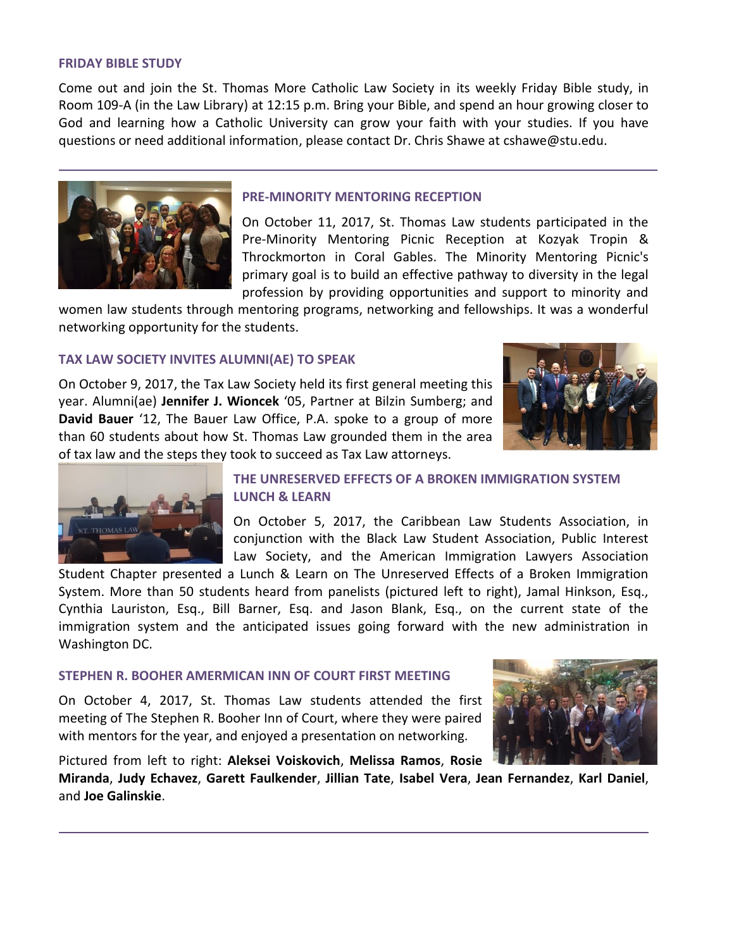#### **FRIDAY BIBLE STUDY**

Come out and join the St. Thomas More Catholic Law Society in its weekly Friday Bible study, in Room 109-A (in the Law Library) at 12:15 p.m. Bring your Bible, and spend an hour growing closer to God and learning how a Catholic University can grow your faith with your studies. If you have questions or need additional information, please contact Dr. Chris Shawe at cshawe@stu.edu.



## **PRE-MINORITY MENTORING RECEPTION**

On October 11, 2017, St. Thomas Law students participated in the Pre-Minority Mentoring Picnic Reception at Kozyak Tropin & Throckmorton in Coral Gables. The Minority Mentoring Picnic's primary goal is to build an effective pathway to diversity in the legal profession by providing opportunities and support to minority and

women law students through mentoring programs, networking and fellowships. It was a wonderful networking opportunity for the students.

# **TAX LAW SOCIETY INVITES ALUMNI(AE) TO SPEAK**

On October 9, 2017, the Tax Law Society held its first general meeting this year. Alumni(ae) **Jennifer J. Wioncek** '05, Partner at Bilzin Sumberg; and **David Bauer** '12, The Bauer Law Office, P.A. spoke to a group of more than 60 students about how St. Thomas Law grounded them in the area of tax law and the steps they took to succeed as Tax Law attorneys.





# **THE UNRESERVED EFFECTS OF A BROKEN IMMIGRATION SYSTEM LUNCH & LEARN**

On October 5, 2017, the Caribbean Law Students Association, in conjunction with the Black Law Student Association, Public Interest Law Society, and the American Immigration Lawyers Association

Student Chapter presented a Lunch & Learn on The Unreserved Effects of a Broken Immigration System. More than 50 students heard from panelists (pictured left to right), Jamal Hinkson, Esq., Cynthia Lauriston, Esq., Bill Barner, Esq. and Jason Blank, Esq., on the current state of the immigration system and the anticipated issues going forward with the new administration in Washington DC.

# **STEPHEN R. BOOHER AMERMICAN INN OF COURT FIRST MEETING**

On October 4, 2017, St. Thomas Law students attended the first meeting of The Stephen R. Booher Inn of Court, where they were paired with mentors for the year, and enjoyed a presentation on networking.

Pictured from left to right: **Aleksei Voiskovich**, **Melissa Ramos**, **Rosie**



**Miranda**, **Judy Echavez**, **Garett Faulkender**, **Jillian Tate**, **Isabel Vera**, **Jean Fernandez**, **Karl Daniel**, and **Joe Galinskie**.